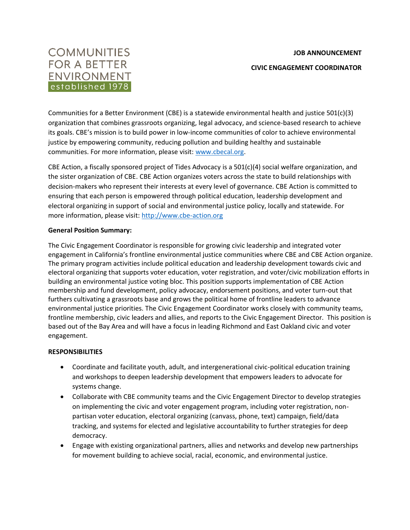#### **JOB ANNOUNCEMENT**



**CIVIC ENGAGEMENT COORDINATOR**

Communities for a Better Environment (CBE) is a statewide environmental health and justice 501(c)(3) organization that combines grassroots organizing, legal advocacy, and science-based research to achieve its goals. CBE's mission is to build power in low-income communities of color to achieve environmental justice by empowering community, reducing pollution and building healthy and sustainable communities. For more information, please visit: [www.cbecal.org.](http://www.cbecal.org/)

CBE Action, a fiscally sponsored project of Tides Advocacy is a 501(c)(4) social welfare organization, and the sister organization of CBE. CBE Action organizes voters across the state to build relationships with decision-makers who represent their interests at every level of governance. CBE Action is committed to ensuring that each person is empowered through political education, leadership development and electoral organizing in support of social and environmental justice policy, locally and statewide. For more information, please visit: [http://www.cbe-action.org](http://www.cbe-action.org/)

### **General Position Summary:**

The Civic Engagement Coordinator is responsible for growing civic leadership and integrated voter engagement in California's frontline environmental justice communities where CBE and CBE Action organize. The primary program activities include political education and leadership development towards civic and electoral organizing that supports voter education, voter registration, and voter/civic mobilization efforts in building an environmental justice voting bloc. This position supports implementation of CBE Action membership and fund development, policy advocacy, endorsement positions, and voter turn-out that furthers cultivating a grassroots base and grows the political home of frontline leaders to advance environmental justice priorities. The Civic Engagement Coordinator works closely with community teams, frontline membership, civic leaders and allies, and reports to the Civic Engagement Director. This position is based out of the Bay Area and will have a focus in leading Richmond and East Oakland civic and voter engagement.

### **RESPONSIBILITIES**

- Coordinate and facilitate youth, adult, and intergenerational civic-political education training and workshops to deepen leadership development that empowers leaders to advocate for systems change.
- Collaborate with CBE community teams and the Civic Engagement Director to develop strategies on implementing the civic and voter engagement program, including voter registration, nonpartisan voter education, electoral organizing (canvass, phone, text) campaign, field/data tracking, and systems for elected and legislative accountability to further strategies for deep democracy.
- Engage with existing organizational partners, allies and networks and develop new partnerships for movement building to achieve social, racial, economic, and environmental justice.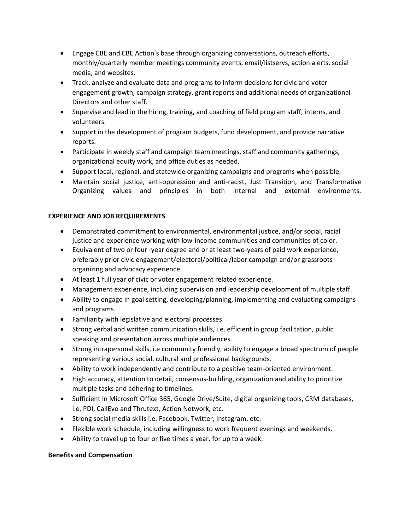- Engage CBE and CBE Action's base through organizing conversations, outreach efforts, monthly/quarterly member meetings community events, email/listservs, action alerts, social media, and websites.
- Track, analyze and evaluate data and programs to inform decisions for civic and voter engagement growth, campaign strategy, grant reports and additional needs of organizational Directors and other staff.
- Supervise and lead in the hiring, training, and coaching of field program staff, interns, and volunteers.
- Support in the development of program budgets, fund development, and provide narrative reports.
- Participate in weekly staff and campaign team meetings, staff and community gatherings, organizational equity work, and office duties as needed.
- Support local, regional, and statewide organizing campaigns and programs when possible.
- Maintain social justice, anti-oppression and anti-racist, Just Transition, and Transformative Organizing values and principles in both internal and external environments.

# **EXPERIENCE AND JOB REQUIREMENTS**

- Demonstrated commitment to environmental, environmental justice, and/or social, racial justice and experience working with low-income communities and communities of color.
- Equivalent of two or four -year degree and or at least two-years of paid work experience, preferably prior civic engagement/electoral/political/labor campaign and/or grassroots organizing and advocacy experience.
- At least 1 full year of civic or voter engagement related experience.
- Management experience, including supervision and leadership development of multiple staff.
- Ability to engage in goal setting, developing/planning, implementing and evaluating campaigns and programs.
- Familiarity with legislative and electoral processes
- Strong verbal and written communication skills, i.e. efficient in group facilitation, public speaking and presentation across multiple audiences.
- Strong intrapersonal skills, i.e community friendly, ability to engage a broad spectrum of people representing various social, cultural and professional backgrounds.
- Ability to work independently and contribute to a positive team-oriented environment.
- High accuracy, attention to detail, consensus-building, organization and ability to prioritize multiple tasks and adhering to timelines.
- Sufficient in Microsoft Office 365, Google Drive/Suite, digital organizing tools, CRM databases, i.e. PDI, CallEvo and Thrutext, Action Network, etc.
- Strong social media skills i.e. Facebook, Twitter, Instagram, etc.
- Flexible work schedule, including willingness to work frequent evenings and weekends.
- Ability to travel up to four or five times a year, for up to a week.

# **Benefits and Compensation**